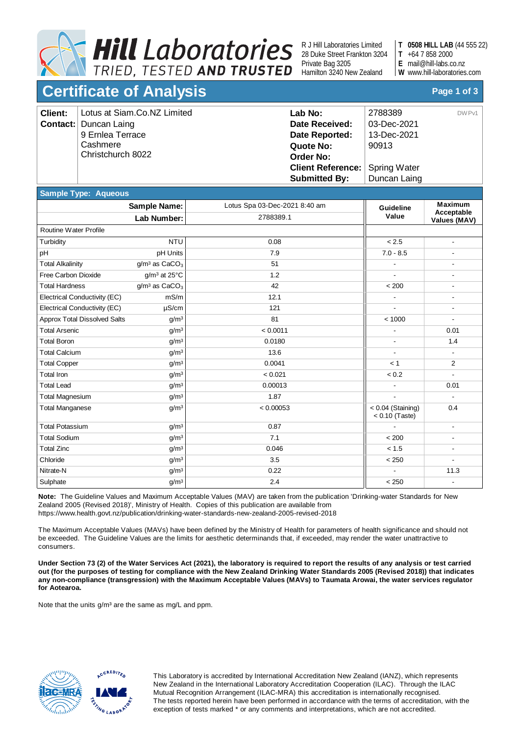

R J Hill Laboratories Limited 28 Duke Street Frankton 3204 Private Bag 3205 Hamilton 3240 New Zealand

**0508 HILL LAB** (44 555 22) **T**

- +64 7 858 2000 **T**
- mail@hill-labs.co.nz **E**

www.hill-laboratories.com **W**

## **Certificate of Analysis Page 1 of 3**

| <b>Client:</b> | Lotus at Siam.Co.NZ Limited  | Lab No:                                 | 2788389<br>DW Pv1 |  |
|----------------|------------------------------|-----------------------------------------|-------------------|--|
|                | <b>Contact:</b> Duncan Laing | Date Received:                          | 03-Dec-2021       |  |
|                | 9 Ernlea Terrace             | Date Reported:                          | 13-Dec-2021       |  |
|                | Cashmere                     | Quote No:                               | 90913             |  |
|                | Christchurch 8022            | <b>Order No:</b>                        |                   |  |
|                |                              | <b>Client Reference:   Spring Water</b> |                   |  |
|                |                              | <b>Submitted By:</b>                    | Duncan Laing      |  |

## **Sample Type: Aqueous**

|                                     | <b>Sample Name:</b>         | Lotus Spa 03-Dec-2021 8:40 am | Guideline                               | <b>Maximum</b><br>Acceptable<br>Values (MAV) |
|-------------------------------------|-----------------------------|-------------------------------|-----------------------------------------|----------------------------------------------|
|                                     | Lab Number:                 | 2788389.1                     | Value                                   |                                              |
| Routine Water Profile               |                             |                               |                                         |                                              |
| Turbidity                           | <b>NTU</b>                  | 0.08                          | < 2.5                                   | $\blacksquare$                               |
| pH                                  | pH Units                    | 7.9                           | $7.0 - 8.5$                             | $\blacksquare$                               |
| <b>Total Alkalinity</b>             | $q/m3$ as CaCO <sub>3</sub> | 51                            |                                         | $\blacksquare$                               |
| Free Carbon Dioxide                 | $g/m^3$ at 25 $°C$          | 1.2                           |                                         | $\blacksquare$                               |
| <b>Total Hardness</b>               | $g/m3$ as CaCO <sub>3</sub> | 42                            | < 200                                   |                                              |
| Electrical Conductivity (EC)        | mS/m                        | 12.1                          |                                         |                                              |
| Electrical Conductivity (EC)        | $\mu$ S/cm                  | 121                           |                                         | $\blacksquare$                               |
| <b>Approx Total Dissolved Salts</b> | g/m <sup>3</sup>            | 81                            | < 1000                                  | $\overline{\phantom{a}}$                     |
| <b>Total Arsenic</b>                | g/m <sup>3</sup>            | < 0.0011                      |                                         | 0.01                                         |
| <b>Total Boron</b>                  | g/m <sup>3</sup>            | 0.0180                        |                                         | 1.4                                          |
| <b>Total Calcium</b>                | g/m <sup>3</sup>            | 13.6                          |                                         |                                              |
| <b>Total Copper</b>                 | g/m <sup>3</sup>            | 0.0041                        | < 1                                     | 2                                            |
| <b>Total Iron</b>                   | g/m <sup>3</sup>            | < 0.021                       | < 0.2                                   | $\blacksquare$                               |
| <b>Total Lead</b>                   | g/m <sup>3</sup>            | 0.00013                       |                                         | 0.01                                         |
| <b>Total Magnesium</b>              | g/m <sup>3</sup>            | 1.87                          |                                         | $\overline{\phantom{a}}$                     |
| <b>Total Manganese</b>              | g/m <sup>3</sup>            | < 0.00053                     | $< 0.04$ (Staining)<br>$< 0.10$ (Taste) | 0.4                                          |
| <b>Total Potassium</b>              | g/m <sup>3</sup>            | 0.87                          |                                         | $\overline{\phantom{a}}$                     |
| <b>Total Sodium</b>                 | g/m <sup>3</sup>            | 7.1                           | < 200                                   |                                              |
| <b>Total Zinc</b>                   | g/m <sup>3</sup>            | 0.046                         | < 1.5                                   | $\blacksquare$                               |
| Chloride                            | g/m <sup>3</sup>            | 3.5                           | < 250                                   | $\blacksquare$                               |
| Nitrate-N                           | g/m <sup>3</sup>            | 0.22                          | $\overline{\phantom{a}}$                | 11.3                                         |
| Sulphate                            | g/m <sup>3</sup>            | 2.4                           | < 250                                   | $\blacksquare$                               |

**Note:** The Guideline Values and Maximum Acceptable Values (MAV) are taken from the publication 'Drinking-water Standards for New Zealand 2005 (Revised 2018)', Ministry of Health. Copies of this publication are available from https://www.health.govt.nz/publication/drinking-water-standards-new-zealand-2005-revised-2018

The Maximum Acceptable Values (MAVs) have been defined by the Ministry of Health for parameters of health significance and should not be exceeded. The Guideline Values are the limits for aesthetic determinands that, if exceeded, may render the water unattractive to consumers.

**Under Section 73 (2) of the Water Services Act (2021), the laboratory is required to report the results of any analysis or test carried out (for the purposes of testing for compliance with the New Zealand Drinking Water Standards 2005 (Revised 2018)) that indicates any non-compliance (transgression) with the Maximum Acceptable Values (MAVs) to Taumata Arowai, the water services regulator for Aotearoa.**

Note that the units g/m<sup>3</sup> are the same as mg/L and ppm.



This Laboratory is accredited by International Accreditation New Zealand (IANZ), which represents New Zealand in the International Laboratory Accreditation Cooperation (ILAC). Through the ILAC Mutual Recognition Arrangement (ILAC-MRA) this accreditation is internationally recognised. The tests reported herein have been performed in accordance with the terms of accreditation, with the exception of tests marked \* or any comments and interpretations, which are not accredited.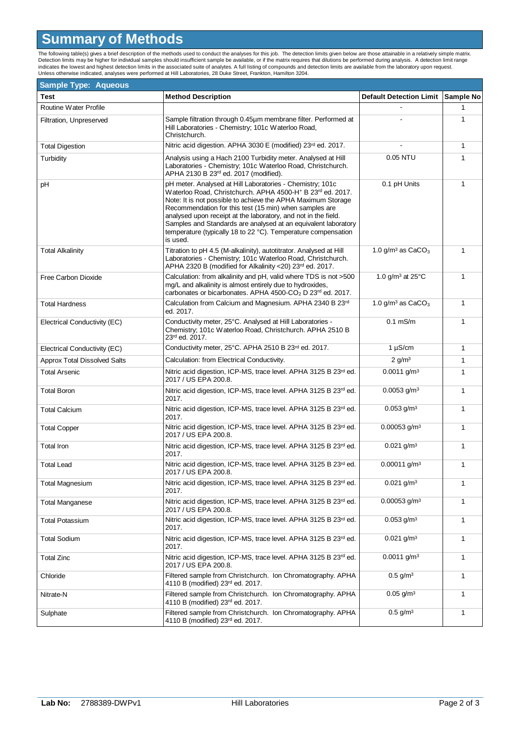## **Summary of Methods**

The following table(s) gives a brief description of the methods used to conduct the analyses for this job. The detection limits given below are those attainable in a relatively simple matrix.<br>Detection limits may be higher

| <b>Sample Type: Aqueous</b>         |                                                                                                                                                                                                                                                                                                                                                                                                                                                                                |                                        |              |
|-------------------------------------|--------------------------------------------------------------------------------------------------------------------------------------------------------------------------------------------------------------------------------------------------------------------------------------------------------------------------------------------------------------------------------------------------------------------------------------------------------------------------------|----------------------------------------|--------------|
| Test                                | <b>Method Description</b>                                                                                                                                                                                                                                                                                                                                                                                                                                                      | Default Detection Limit Sample No      |              |
| Routine Water Profile               |                                                                                                                                                                                                                                                                                                                                                                                                                                                                                |                                        | 1            |
| Filtration, Unpreserved             | Sample filtration through 0.45µm membrane filter. Performed at<br>Hill Laboratories - Chemistry; 101c Waterloo Road,<br>Christchurch.                                                                                                                                                                                                                                                                                                                                          |                                        | 1            |
| <b>Total Digestion</b>              | Nitric acid digestion. APHA 3030 E (modified) 23 <sup>rd</sup> ed. 2017.                                                                                                                                                                                                                                                                                                                                                                                                       |                                        | 1            |
| Turbidity                           | Analysis using a Hach 2100 Turbidity meter. Analysed at Hill<br>Laboratories - Chemistry; 101c Waterloo Road, Christchurch.<br>APHA 2130 B 23rd ed. 2017 (modified).                                                                                                                                                                                                                                                                                                           | 0.05 NTU                               | 1            |
| pH                                  | pH meter. Analysed at Hill Laboratories - Chemistry; 101c<br>Waterloo Road, Christchurch. APHA 4500-H <sup>+</sup> B 23rd ed. 2017.<br>Note: It is not possible to achieve the APHA Maximum Storage<br>Recommendation for this test (15 min) when samples are<br>analysed upon receipt at the laboratory, and not in the field.<br>Samples and Standards are analysed at an equivalent laboratory<br>temperature (typically 18 to 22 °C). Temperature compensation<br>is used. | 0.1 pH Units                           | 1            |
| <b>Total Alkalinity</b>             | Titration to pH 4.5 (M-alkalinity), autotitrator. Analysed at Hill<br>Laboratories - Chemistry; 101c Waterloo Road, Christchurch.<br>APHA 2320 B (modified for Alkalinity <20) 23rd ed. 2017.                                                                                                                                                                                                                                                                                  | 1.0 g/m <sup>3</sup> as $CaCO3$        | 1            |
| Free Carbon Dioxide                 | Calculation: from alkalinity and pH, valid where TDS is not >500<br>mg/L and alkalinity is almost entirely due to hydroxides,<br>carbonates or bicarbonates. APHA 4500-CO <sub>2</sub> D 23rd ed. 2017.                                                                                                                                                                                                                                                                        | 1.0 g/m <sup>3</sup> at $25^{\circ}$ C | $\mathbf{1}$ |
| <b>Total Hardness</b>               | Calculation from Calcium and Magnesium. APHA 2340 B 23rd<br>ed. 2017.                                                                                                                                                                                                                                                                                                                                                                                                          | 1.0 g/m <sup>3</sup> as $CaCO3$        | 1            |
| Electrical Conductivity (EC)        | Conductivity meter, 25°C. Analysed at Hill Laboratories -<br>Chemistry; 101c Waterloo Road, Christchurch. APHA 2510 B<br>23rd ed. 2017.                                                                                                                                                                                                                                                                                                                                        | $0.1$ mS/m                             | 1            |
| Electrical Conductivity (EC)        | Conductivity meter, 25°C. APHA 2510 B 23rd ed. 2017.                                                                                                                                                                                                                                                                                                                                                                                                                           | $1 \mu S/cm$                           | 1            |
| <b>Approx Total Dissolved Salts</b> | Calculation: from Electrical Conductivity.                                                                                                                                                                                                                                                                                                                                                                                                                                     | $2$ g/m <sup>3</sup>                   | 1            |
| <b>Total Arsenic</b>                | Nitric acid digestion, ICP-MS, trace level. APHA 3125 B 23rd ed.<br>2017 / US EPA 200.8.                                                                                                                                                                                                                                                                                                                                                                                       | $0.0011$ g/m <sup>3</sup>              | 1            |
| <b>Total Boron</b>                  | Nitric acid digestion, ICP-MS, trace level. APHA 3125 B 23rd ed.<br>2017.                                                                                                                                                                                                                                                                                                                                                                                                      | $0.0053$ g/m <sup>3</sup>              | $\mathbf{1}$ |
| <b>Total Calcium</b>                | Nitric acid digestion, ICP-MS, trace level. APHA 3125 B 23 <sup>rd</sup> ed.<br>2017.                                                                                                                                                                                                                                                                                                                                                                                          | $0.053$ g/m <sup>3</sup>               | $\mathbf{1}$ |
| <b>Total Copper</b>                 | Nitric acid digestion, ICP-MS, trace level. APHA 3125 B 23rd ed.<br>2017 / US EPA 200.8.                                                                                                                                                                                                                                                                                                                                                                                       | $0.00053$ g/m <sup>3</sup>             | $\mathbf{1}$ |
| <b>Total Iron</b>                   | Nitric acid digestion, ICP-MS, trace level. APHA 3125 B 23rd ed.<br>2017.                                                                                                                                                                                                                                                                                                                                                                                                      | $0.021$ g/m <sup>3</sup>               | 1            |
| <b>Total Lead</b>                   | Nitric acid digestion, ICP-MS, trace level. APHA 3125 B 23rd ed.<br>2017 / US EPA 200.8.                                                                                                                                                                                                                                                                                                                                                                                       | $0.00011$ g/m <sup>3</sup>             | 1            |
| <b>Total Magnesium</b>              | Nitric acid digestion, ICP-MS, trace level. APHA 3125 B 23rd ed.<br>2017.                                                                                                                                                                                                                                                                                                                                                                                                      | $0.021$ g/m <sup>3</sup>               | 1            |
| Total Manganese                     | Nitric acid digestion, ICP-MS, trace level. APHA 3125 B 23rd ed.<br>2017 / US EPA 200.8.                                                                                                                                                                                                                                                                                                                                                                                       | $0.00053$ g/m <sup>3</sup>             | 1            |
| <b>Total Potassium</b>              | Nitric acid digestion, ICP-MS, trace level. APHA 3125 B 23rd ed.<br>2017.                                                                                                                                                                                                                                                                                                                                                                                                      | $0.053$ g/m <sup>3</sup>               | 1            |
| <b>Total Sodium</b>                 | Nitric acid digestion, ICP-MS, trace level. APHA 3125 B 23rd ed.<br>2017.                                                                                                                                                                                                                                                                                                                                                                                                      | $0.021$ g/m <sup>3</sup>               | 1            |
| <b>Total Zinc</b>                   | Nitric acid digestion, ICP-MS, trace level. APHA 3125 B 23rd ed.<br>2017 / US EPA 200.8.                                                                                                                                                                                                                                                                                                                                                                                       | $0.0011$ g/m <sup>3</sup>              | 1            |
| Chloride                            | Filtered sample from Christchurch. Ion Chromatography. APHA<br>4110 B (modified) 23rd ed. 2017.                                                                                                                                                                                                                                                                                                                                                                                | $0.5$ g/m <sup>3</sup>                 | 1            |
| Nitrate-N                           | Filtered sample from Christchurch. Ion Chromatography. APHA<br>4110 B (modified) 23rd ed. 2017.                                                                                                                                                                                                                                                                                                                                                                                | $0.05$ g/m <sup>3</sup>                | 1            |
| Sulphate                            | Filtered sample from Christchurch. Ion Chromatography. APHA<br>4110 B (modified) 23rd ed. 2017.                                                                                                                                                                                                                                                                                                                                                                                | $0.5$ g/m <sup>3</sup>                 | 1            |